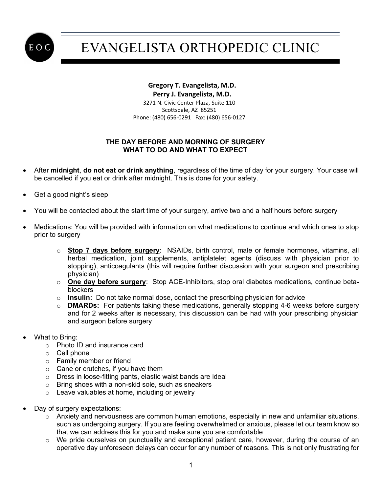

## EVANGELISTA ORTHOPEDIC CLINIC

## **Gregory T. Evangelista, M.D. Perry J. Evangelista, M.D.**

 3271 N. Civic Center Plaza, Suite 110 Scottsdale, AZ 85251 Phone: (480) 656-0291 Fax: (480) 656-0127

## **THE DAY BEFORE AND MORNING OF SURGERY WHAT TO DO AND WHAT TO EXPECT**

- After **midnight**, **do not eat or drink anything**, regardless of the time of day for your surgery. Your case will be cancelled if you eat or drink after midnight. This is done for your safety.
- Get a good night's sleep
- You will be contacted about the start time of your surgery, arrive two and a half hours before surgery
- Medications: You will be provided with information on what medications to continue and which ones to stop prior to surgery
	- o **Stop 7 days before surgery**: NSAIDs, birth control, male or female hormones, vitamins, all herbal medication, joint supplements, antiplatelet agents (discuss with physician prior to stopping), anticoagulants (this will require further discussion with your surgeon and prescribing physician)
	- o **One day before surgery**: Stop ACE-Inhibitors, stop oral diabetes medications, continue betablockers
	- o **Insulin:** Do not take normal dose, contact the prescribing physician for advice
	- o **DMARDs:** For patients taking these medications, generally stopping 4-6 weeks before surgery and for 2 weeks after is necessary, this discussion can be had with your prescribing physician and surgeon before surgery
- What to Bring:
	- o Photo ID and insurance card
	- o Cell phone
	- o Family member or friend
	- o Cane or crutches, if you have them
	- o Dress in loose-fitting pants, elastic waist bands are ideal
	- o Bring shoes with a non-skid sole, such as sneakers
	- o Leave valuables at home, including or jewelry
- Day of surgery expectations:
	- o Anxiety and nervousness are common human emotions, especially in new and unfamiliar situations, such as undergoing surgery. If you are feeling overwhelmed or anxious, please let our team know so that we can address this for you and make sure you are comfortable
	- $\circ$  We pride ourselves on punctuality and exceptional patient care, however, during the course of an operative day unforeseen delays can occur for any number of reasons. This is not only frustrating for